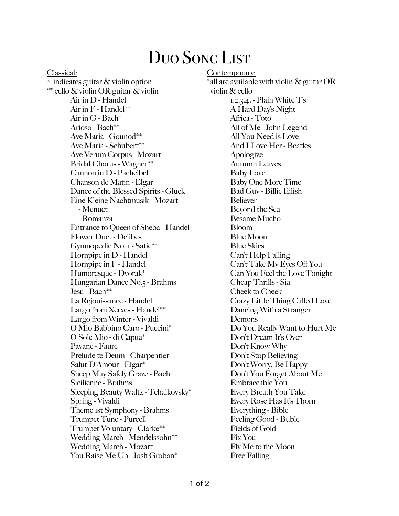## Duo Song List

Classical: \* indicates guitar & violin option \*\* cello & violin OR guitar & violin Air in D - Handel Air in F - Handel\*\* Air in G - Bach\* Arioso - Bach\*\* Ave Maria - Gounod\*\* Ave Maria - Schubert\*\* Ave Verum Corpus - Mozart Bridal Chorus - Wagner\*\* Cannon in D - Pachelbel Chanson de Matin - Elgar Dance of the Blessed Spirits - Gluck Eine Kleine Nachtmusik - Mozart - Menuet - Romanza Entrance to Queen of Sheba - Handel Flower Duet - Delibes Gymnopedie No. 1 - Satie\*\* Hornpipe in D - Handel Hornpipe in F - Handel Humoresque - Dvorak\* Hungarian Dance No.5 - Brahms Jesu - Bach\*\* La Rejouissance - Handel Largo from Xerxes - Handel\*\* Largo from Winter - Vivaldi O Mio Babbino Caro - Puccini\* O Sole Mio - di Capua\* Pavane - Faure Prelude te Deum - Charpentier Salut D'Amour - Elgar\* Sheep May Safely Graze - Bach Sicilienne - Brahms Sleeping Beauty Waltz - Tchaikovsky\* Spring - Vivaldi Theme 1st Symphony - Brahms Trumpet Tune - Purcell Trumpet Voluntary - Clarke\*\* Wedding March - Mendelssohn\*\* Wedding March - Mozart You Raise Me Up - Josh Groban\*

Contemporary: \*all are available with violin  $\&$  guitar OR violin & cello 1.2.3.4. - Plain White T's A Hard Day's Night Africa - Toto All of Me - John Legend All You Need is Love And I Love Her - Beatles Apologize Autumn Leaves Baby Love Baby One More Time Bad Guy - Billie Eilish Believer Beyond the Sea Besame Mucho Bloom Blue Moon Blue Skies Can't Help Falling Can't Take My Eyes Off You Can You Feel the Love Tonight Cheap Thrills - Sia Cheek to Cheek Crazy Little Thing Called Love Dancing With a Stranger Demons Do You Really Want to Hurt Me Don't Dream It's Over Don't Know Why Don't Stop Believing Don't Worry, Be Happy Don't You Forget About Me Embraceable You Every Breath You Take Every Rose Has It's Thorn Everything - Bible Feeling Good - Buble Fields of Gold Fix You Fly Me to the Moon Free Falling